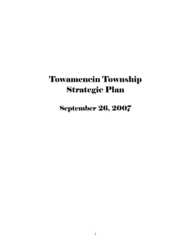# Towamencin Township Strategic Plan

## September 26, 2007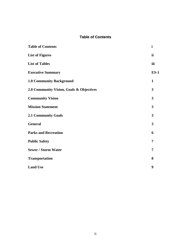#### **Table of Contents**

| <b>Table of Contents</b>                 | $\mathbf{i}$            |
|------------------------------------------|-------------------------|
| <b>List of Figures</b>                   | ii                      |
| <b>List of Tables</b>                    | iii                     |
| <b>Executive Summary</b>                 | $ES-1$                  |
| <b>1.0 Community Background</b>          | $\mathbf{1}$            |
| 2.0 Community Vision, Goals & Objectives | 3                       |
| <b>Community Vision</b>                  | $\overline{\mathbf{3}}$ |
| <b>Mission Statement</b>                 | 3                       |
| <b>2.1 Community Goals</b>               | 3                       |
| <b>General</b>                           | 3                       |
| <b>Parks and Recreation</b>              | 6                       |
| <b>Public Safety</b>                     | $\overline{7}$          |
| <b>Sewer / Storm Water</b>               | 7                       |
| <b>Transportation</b>                    | 8                       |
| <b>Land Use</b>                          | 9                       |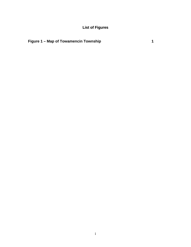**List of Figures**

### **Figure 1 – Map of Towamencin Township 1**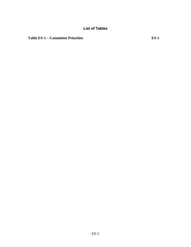Table ES-1 – Committee Priorities **ES-1**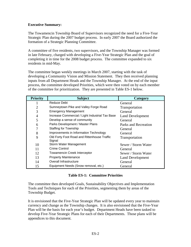#### **Executive Summary:**

The Towamencin Township Board of Supervisors recognized the need for a Five-Year Strategic Plan during the 2007 budget process. In early 2007 the Board authorized the formation of a Strategic Planning Committee.

A committee of five residents, two supervisors, and the Township Manager was formed in late February, charged with developing a Five-Year Strategic Plan and the goal of completing it in time for the 2008 budget process. The committee expanded to six residents in mid-May.

The committee began weekly meetings in March 2007, starting with the task of developing a Community Vision and Mission Statement. They then received planning inputs from all Department Heads and the Township Manager. At the end of the input process, the committee developed Priorities, which were then voted on by each member of the committee for prioritization. They are presented in Table ES-1 below.

| <b>Priority</b> | <b>Subject</b>                                        | <b>Category</b>         |
|-----------------|-------------------------------------------------------|-------------------------|
|                 | Reduce Debt                                           | General                 |
| $\overline{2}$  | Sumneytown Pike and Valley Forge Road                 | <b>Transportation</b>   |
| 3               | <b>Emergency Management</b>                           | General                 |
| 4               | Increase Commercial / Light Industrial Tax Base       | <b>Land Development</b> |
| 5               | Develop a sense of community                          | General                 |
| 6               | Parks Development / Master Plans                      | Parks and Recreation    |
| 7               | <b>Staffing for Township</b>                          | General                 |
| 8               | Improvements in Information Technology                | General                 |
| 9               | Old Forty Foot Road and Rittenhouse Traffic<br>Signal | <b>Transportation</b>   |
| 10              | Storm Water Management                                | Sewer / Storm Water     |
| 11              | Crime Control                                         | General                 |
| 12              | <b>Towamencin Creek Interceptor</b>                   | Sewer / Storm Water     |
| 13              | <b>Property Maintenance</b>                           | <b>Land Development</b> |
| 14              | Overall Infrastructure                                | General                 |
| 15              | Equipment Needs (Snow removal, etc.)                  | General                 |

#### **Table ES-1: Committee Priorities**

The committee then developed Goals, Sustainability Objectives and Implementation Tools and Techniques for each of the Priorities, segmenting them by areas of the Township Budget.

It is envisioned that the Five-Year Strategic Plan will be updated every year to maintain currency and change as the Township changes. It is also envisioned that the Five-Year Plan will be the basis for each year's budget. Department Heads have been tasked to develop Five-Year Strategic Plans for each of their Departments. Those plans will be appendices to this document.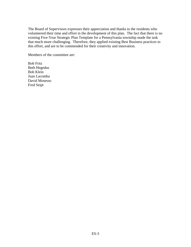The Board of Supervisors expresses their appreciation and thanks to the residents who volunteered their time and effort in the development of this plan. The fact that there is no existing Five-Year Strategic Plan Template for a Pennsylvania township made the task that much more challenging. Therefore, they applied existing Best Business practices to this effort, and are to be commended for their creativity and innovation.

Members of the committee are:

Bob Fritz Beth Hegedus Bob Klein Juan Lacomba David Mosesso Fred Seipt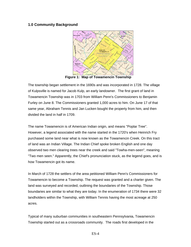#### **1.0 Community Background**



**Figure 1: Map of Towamencin Township** 

The township began settlement in the 1690s and was incorporated in 1728. The village of Kulpsville is named for Jacob Kulp, an early landowner. The first grant of land in Towamencin Township was in 1703 from William Penn's Commissioners to Benjamin Furley on June 8. The Commissioners granted 1,000 acres to him. On June 17 of that same year, Abraham Tennis and Jan Lucken bought the property from him, and then divided the land in half in 1709.

The name Towamencin is of American Indian origin, and means "Poplar Tree". However, a legend associated with the name started in the 1720's when Heinrich Fry purchased some land near what is now known as the Towamencin Creek. On this tract of land was an Indian Village. The Indian Chief spoke broken English and one day observed two men clearing trees near the creek and said "Towha-men-seen", meaning "Two men seen." Apparently, the Chief's pronunciation stuck, as the legend goes, and is how Towamencin got its name.

In March of 1728 the settlers of the area petitioned William Penn's Commissioners for Towamencin to become a Township. The request was granted and a charter given. The land was surveyed and recorded, outlining the boundaries of the Township. Those boundaries are similar to what they are today. In the enumeration of 1734 there were 32 landholders within the Township, with William Tennis having the most acreage at 250 acres.

Typical of many suburban communities in southeastern Pennsylvania, Towamencin Township started out as a crossroads community. The roads first developed in the

ES-4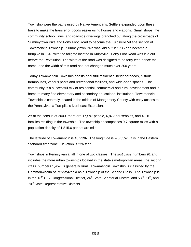Township were the paths used by Native Americans. Settlers expanded upon these trails to make the transfer of goods easier using horses and wagons. Small shops, the community school, inns, and roadside dwellings branched out along the crossroads of Sumneytown Pike and Forty Foot Road to become the Kulpsville Village section of Towamencin Township. Sumneytown Pike was laid out in 1735 and became a turnpike in 1848 with the tollgate located in Kulpsville. Forty Foot Road was laid out before the Revolution. The width of the road was designed to be forty feet, hence the name, and the width of this road had not changed much over 200 years.

Today Towamencin Township boasts beautiful residential neighborhoods, historic farmhouses, various parks and recreational facilities, and wide-open spaces. The community is a successful mix of residential, commercial and rural development and is home to many fine elementary and secondary educational institutions. Towamencin Township is centrally located in the middle of Montgomery County with easy access to the Pennsylvania Turnpike's Northeast Extension.

As of the census of 2000, there are 17,597 people, 6,872 households, and 4,810 families residing in the township. The township encompasses 9.7 square miles with a population density of 1,815.6 per square mile.

The latitude of Towamencin is 40.239N. The longitude is -75.33W. It is in the Eastern Standard time zone. Elevation is 226 feet.

Townships in Pennsylvania fall in one of two classes. The *first class* numbers 91 and includes the more urban townships located in the state's metropolitan areas; the *second class,* numbers 1,457, is generally rural. Towamencin Township is classified by the Commonwealth of Pennsylvania as a Township of the Second Class. The Township is in the 13<sup>th</sup> U.S. Congressional District, 24<sup>th</sup> State Senatorial District, and 53<sup>rd</sup>, 61<sup>st</sup>, and 70<sup>th</sup> State Representative Districts.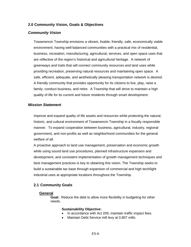#### **2.0 Community Vision, Goals & Objectives**

#### *Community Vision*

Towamencin Township envisions a vibrant, livable, friendly, safe, economically viable environment, having well-balanced communities with a practical mix of residential, business, recreation, manufacturing, agricultural, services, and open space uses that are reflective of the region's historical and agricultural heritage. A network of greenways and trails that will connect community resources and land uses while providing recreation, preserving natural resources and maintaining open space. A safe, efficient, adequate, and aesthetically pleasing transportation network is desired. A friendly community that provides opportunity for its citizens to live, play, raise a family, conduct business, and retire. A Township that will strive to maintain a high quality of life for its current and future residents through smart development.

#### *Mission Statement*

Improve and expand quality of life assets and resources while protecting the natural, historic, and cultural environment of Towamencin Township in a fiscally responsible manner. To expand cooperation between business, agricultural, industry, regional government, and non-profits as well as neighborhood communities for the general welfare of all.

A proactive approach to land use management, preservation and economic growth while using sound land use procedures, planned infrastructure expansion and development, and consistent implementation of growth management techniques and best management practices is key to obtaining this vision. The Township seeks to build a sustainable tax base through expansion of commercial and high tech/light industrial uses at appropriate locations throughout the Township.

#### **2.1 Community Goals**

#### **General**

**Goal:** Reduce the debt to allow more flexibility in budgeting for other needs.

#### **Sustainability Objective:**

- In accordance with Act 209, maintain traffic impact fees.
- Maintain Debt Service mill levy at 0.807 mills.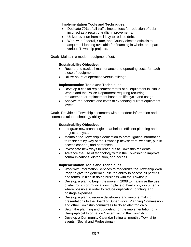#### **Implementation Tools and Techniques:**

- Dedicate 70% of all traffic impact fees for reduction of debt incurred as a result of traffic improvements.
- Utilize revenue from mill levy to reduce debt.
- Work with Federal, State, and County elected officials to acquire all funding available for financing in whole, or in part, various Township projects.

**Goal:** Maintain a modern equipment fleet.

#### **Sustainability Objective:**

- Record and track all maintenance and operating costs for each piece of equipment.
- Utilize hours of operation versus mileage.

#### **Implementation Tools and Techniques:**

- Develop a capital replacement matrix of all equipment in Public Works and the Police Department requiring recurring replacement or replacement based on life cycle and usage.
- Analyze the benefits and costs of expanding current equipment levels.

**Goal:** Provide all Township customers with a modern information and communication technology ability.

#### **Sustainability Objectives:**

- Integrate new technologies that help in efficient planning and project analysis.
- Maintain the Township's dedication to promulgating information to residents by way of the Township newsletters, website, public access channel, and pamphlets.
- Investigate new ways to reach out to Township residents.
- Advance the use of technology within the Township to improve communications, distribution, and access.

- Work with Information Services to modernize the Township Web Page to give the general public the ability to access all permits and forms utilized in doing business with the Township.
- Develop a plan to begin the move in 2008 to maximize the use of electronic communications in place of hard copy documents where possible in order to reduce duplicating, printing, and postage expenses.
- Develop a plan to require developers and anyone making presentations to the Board of Supervisors, Planning Commission and other Township committees to do so electronically.
- Begin the planning and budgeting for the implementation of a Geographical Information System within the Township.
- Develop a Community Calendar listing all monthly Township events. (Social and Professional)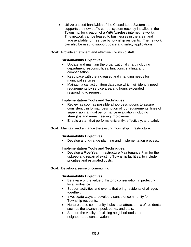- Utilize unused bandwidth of the Closed Loop System that supports the new traffic control system recently installed in the Township, for creation of a WiFi (wireless internet network). This network can be leased to businesses in the area, and made available for free use by township residents. The network can also be used to support police and safety applications.
- **Goal:** Provide an efficient and effective Township staff.

#### **Sustainability Objectives:**

- Update and maintain the organizational chart including department responsibilities, functions, staffing, and compensation.
- Keep pace with the increased and changing needs for municipal services.
- Maintain a call action item database which will identify need requirements by service area and hours expended in responding to request.

#### **Implementation Tools and Techniques:**

- Review as soon as possible all job descriptions to assure consistency in format, description of job requirements, lines of supervision, annual performance evaluation including strengths and areas needing improvement.
- Enable a staff that performs efficiently, effectively, and safely.
- **Goal:** Maintain and enhance the existing Township infrastructure.

#### **Sustainability Objectives:**

• Develop a long-range planning and implementation process.

#### **Implementation Tools and Techniques:**

- Develop a Five-Year Infrastructure Maintenance Plan for the upkeep and repair of existing Township facilities, to include priorities and estimated costs.
- **Goal:** Develop a sense of community.

#### **Sustainability Objectives:**

- Be aware of the value of historic conservation in protecting local ambiance.
- Support activities and events that bring residents of all ages together.
- Investigate ways to develop a sense of community for Township residents.
- Nurture those community 'hubs' that attract a mix of residents, such as the township pool, parks, and trails.
- Support the vitality of existing neighborhoods and neighborhood conservation.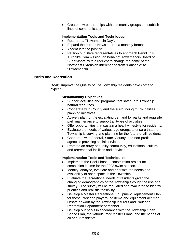• Create new partnerships with community groups to establish lines of communication.

#### **Implementation Tools and Techniques:**

- Return to a "Towamencin Day".
- Expand the current Newsletter to a monthly format.
- Accentuate the positive.
- Petition our State representatives to approach PennDOT/ Turnpike Commission, on behalf of Towamencin Board of Supervisors, with a request to change the name of the Northeast Extension Interchange from "Lansdale" to "Towamencin".

#### **Parks and Recreation**

**Goal:** Improve the Quality of Life Township residents have come to expect.

#### **Sustainability Objectives:**

- Support activities and programs that safeguard Township natural resources.
- Cooperate with County and the surrounding municipalities planning initiatives.
- Actively plan for the escalating demand for parks and requisite park maintenance to support all types of activities.
- Offer opportunities that sustain a healthy lifestyle for residents.
- Evaluate the needs of various age groups to ensure that the Township is serving and planning for the future of all residents.
- Cooperate with Federal, State, County, and non-profit agencies providing social services.
- Promote an array of quality community, educational, cultural, and recreational facilities and services.

- Implement the Pool Phase II construction project for completion in time for the 2008 swim season.
- Identify, analyze, evaluate and prioritize the needs and availability of open space in the Township.
- Evaluate the recreational needs of residents given the changing demographics of the Township through the use of a survey. The survey will be tabulated and evaluated to identify priorities and realistic feasibility.
- Develop a Master Recreational Equipment Replacement Plan for those Park and playground items and equipment deemed unsafe or worn by the Township insurers and Park and Recreation Department personnel.
- Develop our parks in accordance with the Township Open Space Plan, the various Park Master Plans, and the needs of all of our residents.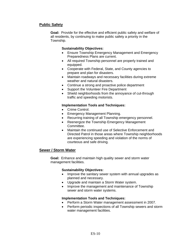#### **Public Safety**

**Goal:** Provide for the effective and efficient public safety and welfare of all residents, by continuing to make public safety a priority in the Township.

#### **Sustainability Objectives:**

- Ensure Township Emergency Management and Emergency Preparedness Plans are current.
- All required Township personnel are properly trained and equipped.
- Cooperate with Federal, State, and County agencies to prepare and plan for disasters.
- Maintain roadways and necessary facilities during extreme weather and natural disasters.
- Continue a strong and proactive police department
- Support the Volunteer Fire Department
- Shield neighborhoods from the annoyance of cut-through traffic and speeding motorists.

#### **Implementation Tools and Techniques:**

- Crime Control.
- Emergency Management Planning.
- Recurring training of all Township emergency personnel.
- Reenergize the Township Emergency Management Committee.
- Maintain the continued use of Selective Enforcement and Directed Patrol in those areas where Township neighborhoods are experiencing speeding and violation of the norms of courteous and safe driving.

#### **Sewer / Storm Water**

**Goal:** Enhance and maintain high quality sewer and storm water management facilities.

#### **Sustainability Objectives:**

- Improve the sanitary sewer system with annual upgrades as planned and necessary.
- Upgrade and maintain a Storm Water system.
- Improve the management and maintenance of Township sewer and storm water systems.

- Perform a Storm Water management assessment in 2007.
- Perform periodic inspections of all Township sewers and storm water management facilities.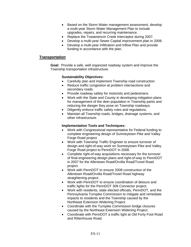- Based on the Storm Water management assessment, develop a multi-year Storm Water Management Plan to include upgrades, repairs, and recurring maintenance.
- Replace the Towamencin Creek Interceptor during 2007.
- Develop a multi-year Sewer Capital improvement plan in 2008.
- Develop a multi-year Infiltration and Inflow Plan and provide funding in accordance with the plan.

#### **Transportation**

**Goal:** Provide a safe, well organized roadway system and improve the Township transportation infrastructure.

#### **Sustainability Objectives:**

- Carefully plan and implement Township road construction
- Reduce traffic congestion at problem intersections and secondary roads.
- Provide roadway safety for motorists and pedestrians.
- Work with the State and County in developing mitigation plans for management of the deer population in Township parks and reducing the danger they pose on Township roadways.
- Diligently enforce traffic safety rules and regulations.
- Maintain all Township roads, bridges, drainage systems, and other infrastructure.

- Work with Congressional representative for Federal funding to complete engineering design of Sumneytown Pike and Valley Forge Road project.
- Work with Township Traffic Engineer to ensure turnover of design and right-of-way work on Sumneytown Pike and Valley Forge Road project to PennDOT in 2008.
- Complete right-of-way acquisitions necessary for the turnover of final engineering design plans and right-of-way to PennDOT in 2007 for the Allentown Road/Orvilla Road/Troxel Road project.
- Work with PennDOT to ensure 2008 construction of the Allentown Road/Orvilla Road/Troxel Road highway straightening project.
- Work with PennDOT to ensure coordination of detours and traffic lights for the PennDOT 309 Connector project.
- Work with residents, state elected officials, PennDOT, and the Pennsylvania Turnpike Commission to mitigate and remediate impacts to residents and the Township caused by the Northeast Extension Widening Project.
- Coordinate with the Turnpike Commission bridge closures caused by the Northeast Extension Widening Project.
- Coordinate with PennDOT a traffic light at Old Forty Foot Road and Rittenhouse Road.